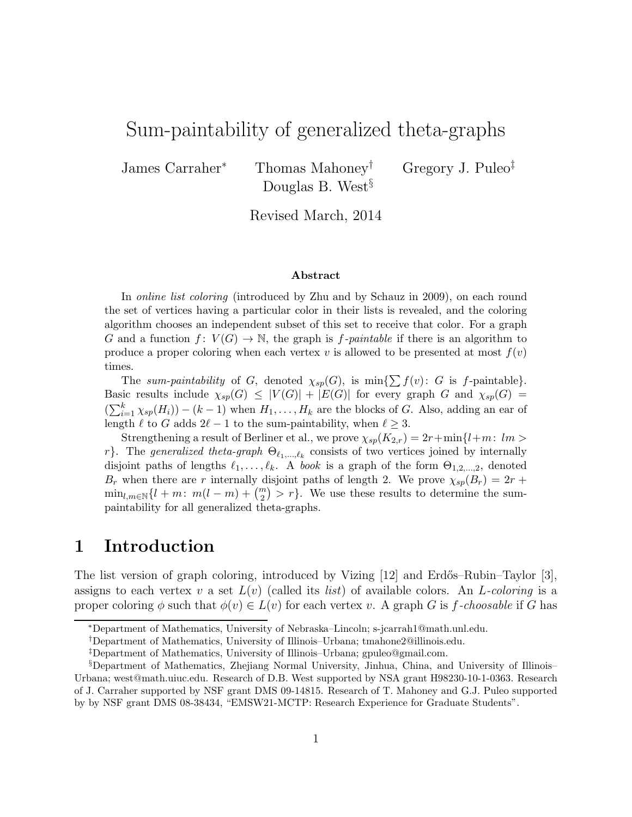# Sum-paintability of generalized theta-graphs

James Carraher<sup>∗</sup> Thomas Mahoney† Gregory J. Puleo‡ Douglas B. West<sup>§</sup>

Revised March, 2014

#### Abstract

In online list coloring (introduced by Zhu and by Schauz in 2009), on each round the set of vertices having a particular color in their lists is revealed, and the coloring algorithm chooses an independent subset of this set to receive that color. For a graph G and a function  $f: V(G) \to \mathbb{N}$ , the graph is f-paintable if there is an algorithm to produce a proper coloring when each vertex v is allowed to be presented at most  $f(v)$ times.

The sum-paintability of G, denoted  $\chi_{sp}(G)$ , is min $\{\sum f(v): G$  is f-paintable}. Basic results include  $\chi_{sp}(G) \leq |V(G)| + |E(G)|$  for every graph G and  $\chi_{sp}(G)$  =  $(\sum_{i=1}^{k} \chi_{sp}(H_i)) - (k-1)$  when  $H_1, \ldots, H_k$  are the blocks of G. Also, adding an ear of length  $\ell$  to G adds  $2\ell - 1$  to the sum-paintability, when  $\ell \geq 3$ .

Strengthening a result of Berliner et al., we prove  $\chi_{sp}(K_{2,r}) = 2r + \min\{l+m: lm >$ r}. The generalized theta-graph  $\Theta_{\ell_1,\ldots,\ell_k}$  consists of two vertices joined by internally disjoint paths of lengths  $\ell_1, \ldots, \ell_k$ . A book is a graph of the form  $\Theta_{1,2,\ldots,2}$ , denoted  $B_r$  when there are r internally disjoint paths of length 2. We prove  $\chi_{sp}(B_r) = 2r + 1$  $\min_{l,m\in\mathbb{N}}\{l+m\colon\thinspace m(l-m)+\binom{m}{2}>r\}.$  We use these results to determine the sumpaintability for all generalized theta-graphs.

## 1 Introduction

The list version of graph coloring, introduced by Vizing  $[12]$  and Erdős–Rubin–Taylor  $[3]$ , assigns to each vertex v a set  $L(v)$  (called its *list*) of available colors. An L-coloring is a proper coloring  $\phi$  such that  $\phi(v) \in L(v)$  for each vertex v. A graph G is f-choosable if G has

<sup>∗</sup>Department of Mathematics, University of Nebraska–Lincoln; s-jcarrah1@math.unl.edu.

<sup>†</sup>Department of Mathematics, University of Illinois–Urbana; tmahone2@illinois.edu.

<sup>‡</sup>Department of Mathematics, University of Illinois–Urbana; gpuleo@gmail.com.

<sup>§</sup>Department of Mathematics, Zhejiang Normal University, Jinhua, China, and University of Illinois– Urbana; west@math.uiuc.edu. Research of D.B. West supported by NSA grant H98230-10-1-0363. Research of J. Carraher supported by NSF grant DMS 09-14815. Research of T. Mahoney and G.J. Puleo supported by by NSF grant DMS 08-38434, "EMSW21-MCTP: Research Experience for Graduate Students".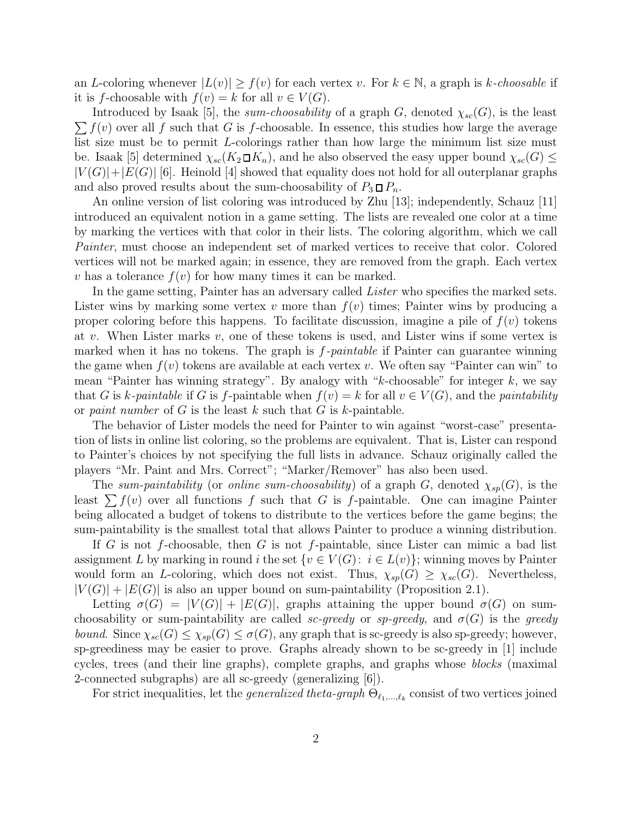an L-coloring whenever  $|L(v)| \ge f(v)$  for each vertex v. For  $k \in \mathbb{N}$ , a graph is k-choosable if it is f-choosable with  $f(v) = k$  for all  $v \in V(G)$ .

 $\sum f(v)$  over all f such that G is f-choosable. In essence, this studies how large the average Introduced by Isaak [5], the *sum-choosability* of a graph G, denoted  $\chi_{sc}(G)$ , is the least list size must be to permit L-colorings rather than how large the minimum list size must be. Isaak [5] determined  $\chi_{sc}(K_2 \Box K_n)$ , and he also observed the easy upper bound  $\chi_{sc}(G) \leq$  $|V(G)|+|E(G)|$  [6]. Heinold [4] showed that equality does not hold for all outerplanar graphs and also proved results about the sum-choosability of  $P_3 \square P_n$ .

An online version of list coloring was introduced by Zhu [13]; independently, Schauz [11] introduced an equivalent notion in a game setting. The lists are revealed one color at a time by marking the vertices with that color in their lists. The coloring algorithm, which we call *Painter*, must choose an independent set of marked vertices to receive that color. Colored vertices will not be marked again; in essence, they are removed from the graph. Each vertex v has a tolerance  $f(v)$  for how many times it can be marked.

In the game setting, Painter has an adversary called *Lister* who specifies the marked sets. Lister wins by marking some vertex v more than  $f(v)$  times; Painter wins by producing a proper coloring before this happens. To facilitate discussion, imagine a pile of  $f(v)$  tokens at v. When Lister marks v, one of these tokens is used, and Lister wins if some vertex is marked when it has no tokens. The graph is f*-paintable* if Painter can guarantee winning the game when  $f(v)$  tokens are available at each vertex v. We often say "Painter can win" to mean "Painter has winning strategy". By analogy with " $k$ -choosable" for integer  $k$ , we say that G is k-paintable if G is f-paintable when  $f(v) = k$  for all  $v \in V(G)$ , and the *paintability* or *paint number* of G is the least k such that G is k-paintable.

The behavior of Lister models the need for Painter to win against "worst-case" presentation of lists in online list coloring, so the problems are equivalent. That is, Lister can respond to Painter's choices by not specifying the full lists in advance. Schauz originally called the players "Mr. Paint and Mrs. Correct"; "Marker/Remover" has also been used.

The *sum-paintability* (or *online sum-choosability*) of a graph G, denoted  $\chi_{sp}(G)$ , is the least  $\sum f(v)$  over all functions f such that G is f-paintable. One can imagine Painter being allocated a budget of tokens to distribute to the vertices before the game begins; the sum-paintability is the smallest total that allows Painter to produce a winning distribution.

If G is not f-choosable, then G is not f-paintable, since Lister can mimic a bad list assignment L by marking in round i the set  $\{v \in V(G): i \in L(v)\}$ ; winning moves by Painter would form an L-coloring, which does not exist. Thus,  $\chi_{sp}(G) \geq \chi_{sc}(G)$ . Nevertheless,  $|V(G)| + |E(G)|$  is also an upper bound on sum-paintability (Proposition 2.1).

Letting  $\sigma(G) = |V(G)| + |E(G)|$ , graphs attaining the upper bound  $\sigma(G)$  on sumchoosability or sum-paintability are called *sc-greedy* or  $sp\text{-}greedy$ , and  $\sigma(G)$  is the *greedy bound.* Since  $\chi_{sc}(G) \leq \chi_{sp}(G) \leq \sigma(G)$ , any graph that is sc-greedy is also sp-greedy; however, sp-greediness may be easier to prove. Graphs already shown to be sc-greedy in [1] include cycles, trees (and their line graphs), complete graphs, and graphs whose *blocks* (maximal 2-connected subgraphs) are all sc-greedy (generalizing [6]).

For strict inequalities, let the *generalized theta-graph*  $\Theta_{\ell_1,\ldots,\ell_k}$  consist of two vertices joined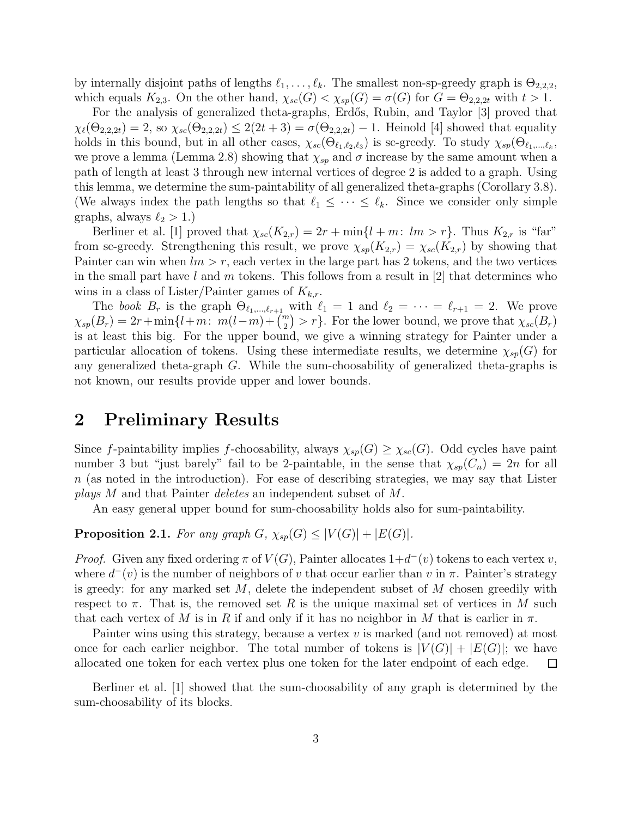by internally disjoint paths of lengths  $\ell_1, \ldots, \ell_k$ . The smallest non-sp-greedy graph is  $\Theta_{2,2,2}$ , which equals  $K_{2,3}$ . On the other hand,  $\chi_{sc}(G) < \chi_{sp}(G) = \sigma(G)$  for  $G = \Theta_{2,2,2t}$  with  $t > 1$ .

For the analysis of generalized theta-graphs, Erdős, Rubin, and Taylor [3] proved that  $\chi_{\ell}(\Theta_{2,2,2t})=2$ , so  $\chi_{sc}(\Theta_{2,2,2t})\leq 2(2t+3)=\sigma(\Theta_{2,2,2t})-1$ . Heinold [4] showed that equality holds in this bound, but in all other cases,  $\chi_{sc}(\Theta_{\ell_1,\ell_2,\ell_3})$  is sc-greedy. To study  $\chi_{sp}(\Theta_{\ell_1,\ldots,\ell_k},\Theta_{\ell_k,\ell_k})$ we prove a lemma (Lemma 2.8) showing that  $\chi_{sp}$  and  $\sigma$  increase by the same amount when a path of length at least 3 through new internal vertices of degree 2 is added to a graph. Using this lemma, we determine the sum-paintability of all generalized theta-graphs (Corollary 3.8). (We always index the path lengths so that  $\ell_1 \leq \cdots \leq \ell_k$ . Since we consider only simple graphs, always  $\ell_2 > 1$ .)

Berliner et al. [1] proved that  $\chi_{sc}(K_{2,r}) = 2r + \min\{l+m: lm > r\}$ . Thus  $K_{2,r}$  is "far" from sc-greedy. Strengthening this result, we prove  $\chi_{sp}(K_{2,r}) = \chi_{sc}(K_{2,r})$  by showing that Painter can win when  $lm > r$ , each vertex in the large part has 2 tokens, and the two vertices in the small part have l and m tokens. This follows from a result in [2] that determines who wins in a class of Lister/Painter games of  $K_{k,r}$ .

The *book*  $B_r$  is the graph  $\Theta_{\ell_1,\ldots,\ell_{r+1}}$  with  $\ell_1 = 1$  and  $\ell_2 = \cdots = \ell_{r+1} = 2$ . We prove  $\chi_{sp}(B_r) = 2r + \min\{l+m: \ m(l-m)+\binom{m}{2} > r\}$ . For the lower bound, we prove that  $\chi_{sc}(B_r)$ is at least this big. For the upper bound, we give a winning strategy for Painter under a particular allocation of tokens. Using these intermediate results, we determine  $\chi_{sp}(G)$  for any generalized theta-graph  $G$ . While the sum-choosability of generalized theta-graphs is not known, our results provide upper and lower bounds.

#### 2 Preliminary Results

Since f-paintability implies f-choosability, always  $\chi_{sp}(G) \geq \chi_{sc}(G)$ . Odd cycles have paint number 3 but "just barely" fail to be 2-paintable, in the sense that  $\chi_{sp}(C_n) = 2n$  for all n (as noted in the introduction). For ease of describing strategies, we may say that Lister *plays* M and that Painter *deletes* an independent subset of M.

An easy general upper bound for sum-choosability holds also for sum-paintability.

**Proposition 2.1.** *For any graph*  $G$ ,  $\chi_{sp}(G) \leq |V(G)| + |E(G)|$ *.* 

*Proof.* Given any fixed ordering  $\pi$  of  $V(G)$ , Painter allocates  $1+d^-(v)$  tokens to each vertex v, where  $d^-(v)$  is the number of neighbors of v that occur earlier than v in  $\pi$ . Painter's strategy is greedy: for any marked set  $M$ , delete the independent subset of  $M$  chosen greedily with respect to  $\pi$ . That is, the removed set R is the unique maximal set of vertices in M such that each vertex of M is in R if and only if it has no neighbor in M that is earlier in  $\pi$ .

Painter wins using this strategy, because a vertex  $v$  is marked (and not removed) at most once for each earlier neighbor. The total number of tokens is  $|V(G)| + |E(G)|$ ; we have allocated one token for each vertex plus one token for the later endpoint of each edge. allocated one token for each vertex plus one token for the later endpoint of each edge.

Berliner et al. [1] showed that the sum-choosability of any graph is determined by the sum-choosability of its blocks.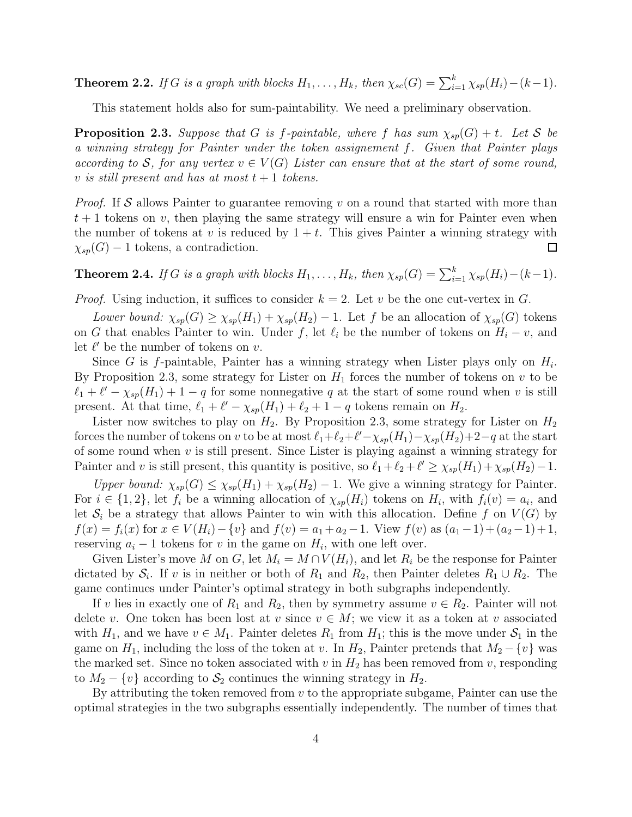**Theorem 2.2.** *If* G *is a graph with blocks*  $H_1, \ldots, H_k$ *, then*  $\chi_{sc}(G) = \sum_{i=1}^k \chi_{sp}(H_i) - (k-1)$ *.* 

This statement holds also for sum-paintability. We need a preliminary observation.

**Proposition 2.3.** Suppose that G is f-paintable, where f has sum  $\chi_{sp}(G) + t$ . Let S be *a winning strategy for Painter under the token assignement* f*. Given that Painter plays according to* S, for any vertex  $v \in V(G)$  Lister can ensure that at the start of some round, v *is still present and has at most*  $t + 1$  *tokens.* 

*Proof.* If S allows Painter to guarantee removing v on a round that started with more than  $t + 1$  tokens on v, then playing the same strategy will ensure a win for Painter even when the number of tokens at v is reduced by  $1 + t$ . This gives Painter a winning strategy with  $\chi_{sp}(G) - 1$  tokens, a contradiction.  $\Box$ 

**Theorem 2.4.** *If* G *is a graph with blocks*  $H_1, \ldots, H_k$ *, then*  $\chi_{sp}(G) = \sum_{i=1}^k \chi_{sp}(H_i) - (k-1)$ *.* 

*Proof.* Using induction, it suffices to consider  $k = 2$ . Let v be the one cut-vertex in G.

*Lower bound:*  $\chi_{sp}(G) \geq \chi_{sp}(H_1) + \chi_{sp}(H_2) - 1$ . Let f be an allocation of  $\chi_{sp}(G)$  tokens on G that enables Painter to win. Under f, let  $\ell_i$  be the number of tokens on  $H_i - v$ , and let  $\ell'$  be the number of tokens on  $v$ .

Since G is  $f$ -paintable, Painter has a winning strategy when Lister plays only on  $H_i$ . By Proposition 2.3, some strategy for Lister on  $H_1$  forces the number of tokens on v to be  $\ell_1 + \ell' - \chi_{sp}(H_1) + 1 - q$  for some nonnegative q at the start of some round when v is still present. At that time,  $\ell_1 + \ell' - \chi_{sp}(H_1) + \ell_2 + 1 - q$  tokens remain on  $H_2$ .

Lister now switches to play on  $H_2$ . By Proposition 2.3, some strategy for Lister on  $H_2$ forces the number of tokens on v to be at most  $\ell_1+\ell_2+\ell'-\chi_{sp}(H_1)-\chi_{sp}(H_2)+2-q$  at the start of some round when  $v$  is still present. Since Lister is playing against a winning strategy for Painter and v is still present, this quantity is positive, so  $\ell_1 + \ell_2 + \ell' \geq \chi_{sp}(H_1) + \chi_{sp}(H_2) - 1$ .

*Upper bound:*  $\chi_{sp}(G) \leq \chi_{sp}(H_1) + \chi_{sp}(H_2) - 1$ . We give a winning strategy for Painter. For  $i \in \{1,2\}$ , let  $f_i$  be a winning allocation of  $\chi_{sp}(H_i)$  tokens on  $H_i$ , with  $f_i(v) = a_i$ , and let  $S_i$  be a strategy that allows Painter to win with this allocation. Define f on  $V(G)$  by  $f(x) = f_i(x)$  for  $x \in V(H_i) - \{v\}$  and  $f(v) = a_1 + a_2 - 1$ . View  $f(v)$  as  $(a_1 - 1) + (a_2 - 1) + 1$ , reserving  $a_i - 1$  tokens for v in the game on  $H_i$ , with one left over.

Given Lister's move M on G, let  $M_i = M \cap V(H_i)$ , and let  $R_i$  be the response for Painter dictated by  $S_i$ . If v is in neither or both of  $R_1$  and  $R_2$ , then Painter deletes  $R_1 \cup R_2$ . The game continues under Painter's optimal strategy in both subgraphs independently.

If v lies in exactly one of  $R_1$  and  $R_2$ , then by symmetry assume  $v \in R_2$ . Painter will not delete v. One token has been lost at v since  $v \in M$ ; we view it as a token at v associated with  $H_1$ , and we have  $v \in M_1$ . Painter deletes  $R_1$  from  $H_1$ ; this is the move under  $S_1$  in the game on  $H_1$ , including the loss of the token at v. In  $H_2$ , Painter pretends that  $M_2 - \{v\}$  was the marked set. Since no token associated with  $v$  in  $H_2$  has been removed from  $v$ , responding to  $M_2 - \{v\}$  according to  $S_2$  continues the winning strategy in  $H_2$ .

By attributing the token removed from  $v$  to the appropriate subgame, Painter can use the optimal strategies in the two subgraphs essentially independently. The number of times that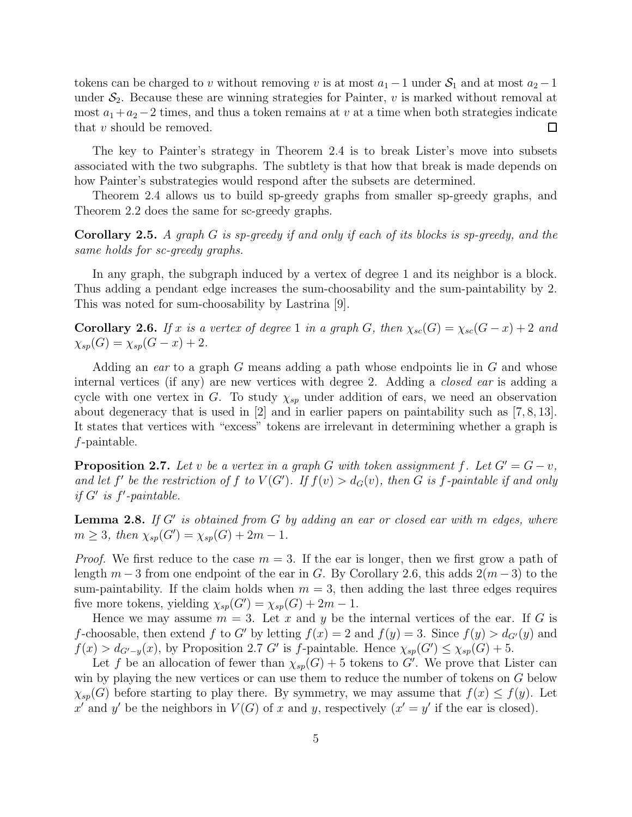tokens can be charged to v without removing v is at most  $a_1 - 1$  under  $S_1$  and at most  $a_2 - 1$ under  $S_2$ . Because these are winning strategies for Painter, v is marked without removal at most  $a_1 + a_2 - 2$  times, and thus a token remains at v at a time when both strategies indicate that v should be removed. that v should be removed.

The key to Painter's strategy in Theorem 2.4 is to break Lister's move into subsets associated with the two subgraphs. The subtlety is that how that break is made depends on how Painter's substrategies would respond after the subsets are determined.

Theorem 2.4 allows us to build sp-greedy graphs from smaller sp-greedy graphs, and Theorem 2.2 does the same for sc-greedy graphs.

Corollary 2.5. *A graph* G *is sp-greedy if and only if each of its blocks is sp-greedy, and the same holds for sc-greedy graphs.*

In any graph, the subgraph induced by a vertex of degree 1 and its neighbor is a block. Thus adding a pendant edge increases the sum-choosability and the sum-paintability by 2. This was noted for sum-choosability by Lastrina [9].

**Corollary 2.6.** *If* x *is a vertex of degree* 1 *in a graph* G, then  $\chi_{sc}(G) = \chi_{sc}(G - x) + 2$  *and*  $\chi_{sp}(G) = \chi_{sp}(G - x) + 2.$ 

Adding an *ear* to a graph G means adding a path whose endpoints lie in G and whose internal vertices (if any) are new vertices with degree 2. Adding a *closed ear* is adding a cycle with one vertex in G. To study  $\chi_{sp}$  under addition of ears, we need an observation about degeneracy that is used in [2] and in earlier papers on paintability such as [7, 8, 13]. It states that vertices with "excess" tokens are irrelevant in determining whether a graph is f-paintable.

**Proposition 2.7.** Let v be a vertex in a graph G with token assignment f. Let  $G' = G - v$ , and let f' be the restriction of f to  $V(G')$ . If  $f(v) > d_G(v)$ , then G is f-paintable if and only *if*  $G'$  *is*  $f'$ -paintable.

Lemma 2.8. *If* G′ *is obtained from* G *by adding an ear or closed ear with* m *edges, where*  $m \geq 3$ , then  $\chi_{sp}(G') = \chi_{sp}(G) + 2m - 1$ .

*Proof.* We first reduce to the case  $m = 3$ . If the ear is longer, then we first grow a path of length  $m-3$  from one endpoint of the ear in G. By Corollary 2.6, this adds  $2(m-3)$  to the sum-paintability. If the claim holds when  $m = 3$ , then adding the last three edges requires five more tokens, yielding  $\chi_{sp}(G') = \chi_{sp}(G) + 2m - 1$ .

Hence we may assume  $m = 3$ . Let x and y be the internal vertices of the ear. If G is f-choosable, then extend f to G' by letting  $f(x) = 2$  and  $f(y) = 3$ . Since  $f(y) > d_{G'}(y)$  and  $f(x) > d_{G'-y}(x)$ , by Proposition 2.7 G' is f-paintable. Hence  $\chi_{sp}(G') \leq \chi_{sp}(G) + 5$ .

Let f be an allocation of fewer than  $\chi_{sp}(G) + 5$  tokens to G'. We prove that Lister can win by playing the new vertices or can use them to reduce the number of tokens on G below  $\chi_{sp}(G)$  before starting to play there. By symmetry, we may assume that  $f(x) \leq f(y)$ . Let x' and y' be the neighbors in  $V(G)$  of x and y, respectively  $(x' = y'$  if the ear is closed).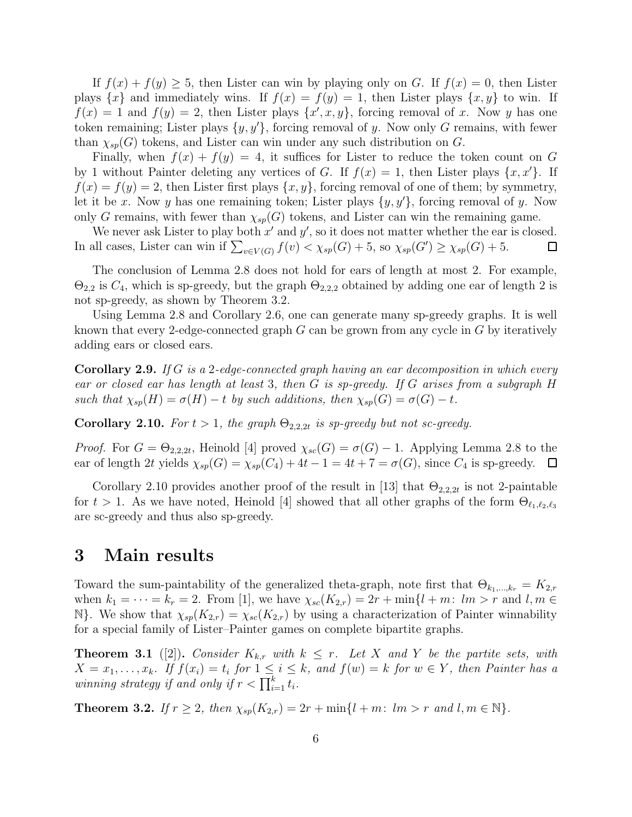If  $f(x) + f(y) \geq 5$ , then Lister can win by playing only on G. If  $f(x) = 0$ , then Lister plays  $\{x\}$  and immediately wins. If  $f(x) = f(y) = 1$ , then Lister plays  $\{x, y\}$  to win. If  $f(x) = 1$  and  $f(y) = 2$ , then Lister plays  $\{x', x, y\}$ , forcing removal of x. Now y has one token remaining; Lister plays  $\{y, y'\}$ , forcing removal of y. Now only G remains, with fewer than  $\chi_{sp}(G)$  tokens, and Lister can win under any such distribution on G.

Finally, when  $f(x) + f(y) = 4$ , it suffices for Lister to reduce the token count on G by 1 without Painter deleting any vertices of G. If  $f(x) = 1$ , then Lister plays  $\{x, x'\}$ . If  $f(x) = f(y) = 2$ , then Lister first plays  $\{x, y\}$ , forcing removal of one of them; by symmetry, let it be x. Now y has one remaining token; Lister plays  $\{y, y'\}$ , forcing removal of y. Now only G remains, with fewer than  $\chi_{sp}(G)$  tokens, and Lister can win the remaining game.

We never ask Lister to play both  $x'$  and  $y'$ , so it does not matter whether the ear is closed. In all cases, Lister can win if  $\sum_{v \in V(G)} f(v) < \chi_{sp}(G) + 5$ , so  $\chi_{sp}(G') \ge \chi_{sp}(G) + 5$ . □

The conclusion of Lemma 2.8 does not hold for ears of length at most 2. For example,  $\Theta_{2,2}$  is  $C_4$ , which is sp-greedy, but the graph  $\Theta_{2,2,2}$  obtained by adding one ear of length 2 is not sp-greedy, as shown by Theorem 3.2.

Using Lemma 2.8 and Corollary 2.6, one can generate many sp-greedy graphs. It is well known that every 2-edge-connected graph  $G$  can be grown from any cycle in  $G$  by iteratively adding ears or closed ears.

Corollary 2.9. *If* G *is a* 2*-edge-connected graph having an ear decomposition in which every ear or closed ear has length at least* 3*, then* G *is sp-greedy. If* G *arises from a subgraph* H *such that*  $\chi_{sp}(H) = \sigma(H) - t$  *by such additions, then*  $\chi_{sp}(G) = \sigma(G) - t$ *.* 

**Corollary 2.10.** *For*  $t > 1$ *, the graph*  $\Theta_{2,2,2t}$  *is sp-greedy but not sc-greedy.* 

*Proof.* For  $G = \Theta_{2,2,2t}$ , Heinold [4] proved  $\chi_{sc}(G) = \sigma(G) - 1$ . Applying Lemma 2.8 to the ear of length 2t yields  $\chi_{sp}(G) = \chi_{sp}(C_4) + 4t - 1 = 4t + 7 = \sigma(G)$ , since  $C_4$  is sp-greedy.  $\Box$ 

Corollary 2.10 provides another proof of the result in [13] that  $\Theta_{2,2,2t}$  is not 2-paintable for  $t > 1$ . As we have noted, Heinold [4] showed that all other graphs of the form  $\Theta_{\ell_1,\ell_2,\ell_3}$ are sc-greedy and thus also sp-greedy.

#### 3 Main results

Toward the sum-paintability of the generalized theta-graph, note first that  $\Theta_{k_1,\dots,k_r} = K_{2,r}$ when  $k_1 = \cdots = k_r = 2$ . From [1], we have  $\chi_{sc}(K_{2,r}) = 2r + \min\{l + m: lm > r \text{ and } l, m \in \mathbb{Z}\}$ N}. We show that  $\chi_{sp}(K_{2,r}) = \chi_{sc}(K_{2,r})$  by using a characterization of Painter winnability for a special family of Lister–Painter games on complete bipartite graphs.

**Theorem 3.1** ([2]). *Consider*  $K_{k,r}$  *with*  $k \leq r$ . Let X and Y be the partite sets, with  $X = x_1, \ldots, x_k$ . If  $f(x_i) = t_i$  for  $1 \leq i \leq k$ , and  $f(w) = k$  for  $w \in Y$ , then Painter has a *winning strategy if and only if*  $r < \prod_{i=1}^{k} t_i$ .

**Theorem 3.2.** *If*  $r \geq 2$ *, then*  $\chi_{sp}(K_{2,r}) = 2r + \min\{l+m: lm > r \text{ and } l, m \in \mathbb{N}\}.$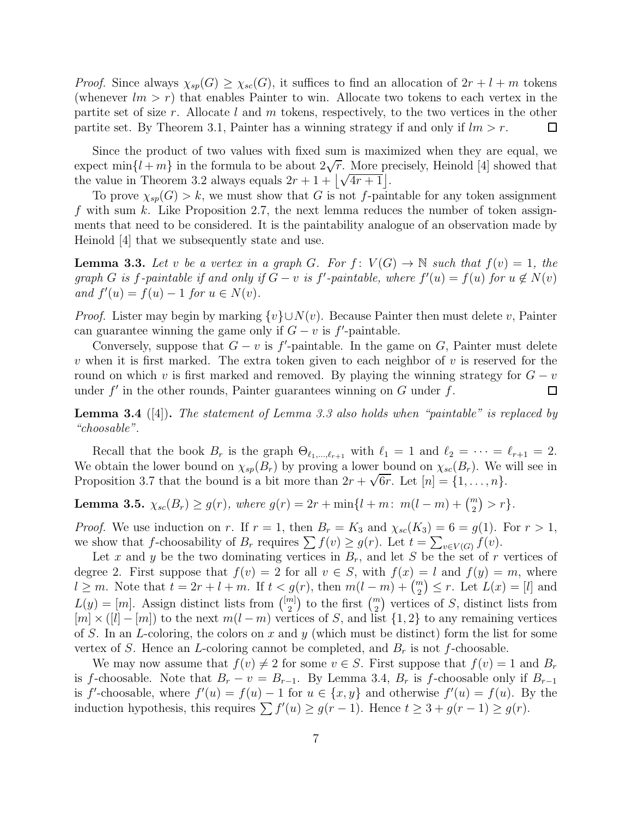*Proof.* Since always  $\chi_{sp}(G) \geq \chi_{sc}(G)$ , it suffices to find an allocation of  $2r + l + m$  tokens (whenever  $lm > r$ ) that enables Painter to win. Allocate two tokens to each vertex in the partite set of size r. Allocate l and m tokens, respectively, to the two vertices in the other partite set. By Theorem 3.1, Painter has a winning strategy if and only if  $lm > r$ .  $\Box$ 

Since the product of two values with fixed sum is maximized when they are equal, we expect  $\min\{l+m\}$  in the formula to be about  $2\sqrt{r}$ . More precisely, Heinold [4] showed that the value in Theorem 3.2 always equals  $2r + 1 + |\sqrt{4r + 1}|$ .

To prove  $\chi_{sp}(G) > k$ , we must show that G is not f-paintable for any token assignment f with sum k. Like Proposition 2.7, the next lemma reduces the number of token assignments that need to be considered. It is the paintability analogue of an observation made by Heinold [4] that we subsequently state and use.

**Lemma 3.3.** Let v be a vertex in a graph G. For  $f: V(G) \to \mathbb{N}$  such that  $f(v) = 1$ , the  $graph\ G\ is\ f\$ -paintable if and only if  $G - v$  is  $f'$ -paintable, where  $f'(u) = f(u)$  for  $u \notin N(v)$ *and*  $f'(u) = f(u) - 1$  *for*  $u \in N(v)$ *.* 

*Proof.* Lister may begin by marking  $\{v\} \cup N(v)$ . Because Painter then must delete v, Painter can guarantee winning the game only if  $G - v$  is  $f'$ -paintable.

Conversely, suppose that  $G - v$  is  $f'$ -paintable. In the game on G, Painter must delete v when it is first marked. The extra token given to each neighbor of v is reserved for the round on which v is first marked and removed. By playing the winning strategy for  $G - v$  under  $f'$  in the other rounds. Painter guarantees winning on  $G$  under  $f$ . under  $f'$  in the other rounds, Painter guarantees winning on  $G$  under  $f$ .

Lemma 3.4 ([4]). *The statement of Lemma 3.3 also holds when "paintable" is replaced by "choosable".*

Recall that the book  $B_r$  is the graph  $\Theta_{\ell_1,\ldots,\ell_{r+1}}$  with  $\ell_1 = 1$  and  $\ell_2 = \cdots = \ell_{r+1} = 2$ . We obtain the lower bound on  $\chi_{sp}(B_r)$  by proving a lower bound on  $\chi_{sc}(B_r)$ . We will see in Proposition 3.7 that the bound is a bit more than  $2r + \sqrt{6r}$ . Let  $[n] = \{1, \ldots, n\}$ .

Lemma 3.5.  $\chi_{sc}(B_r) \ge g(r)$ , where  $g(r) = 2r + \min\{l + m: m(l - m) + \binom{m}{2} > r\}.$ 

*Proof.* We use induction on r. If  $r = 1$ , then  $B_r = K_3$  and  $\chi_{sc}(K_3) = 6 = g(1)$ . For  $r > 1$ , we show that f-choosability of  $B_r$  requires  $\sum f(v) \ge g(r)$ . Let  $t = \sum_{v \in V(G)} f(v)$ .

Let x and y be the two dominating vertices in  $B_r$ , and let S be the set of r vertices of degree 2. First suppose that  $f(v) = 2$  for all  $v \in S$ , with  $f(x) = l$  and  $f(y) = m$ , where  $l \geq m$ . Note that  $t = 2r + l + m$ . If  $t < g(r)$ , then  $m(l - m) + \binom{m}{2} \leq r$ . Let  $L(x) = [l]$  and  $L(y) = [m]$ . Assign distinct lists from  $\binom{[m]}{2}$  $\binom{m}{2}$  to the first  $\binom{m}{2}$  vertices of S, distinct lists from  $[m] \times (l] - [m]$  to the next  $m(l-m)$  vertices of S, and list  $\{1,2\}$  to any remaining vertices of S. In an L-coloring, the colors on x and y (which must be distinct) form the list for some vertex of S. Hence an L-coloring cannot be completed, and  $B_r$  is not f-choosable.

We may now assume that  $f(v) \neq 2$  for some  $v \in S$ . First suppose that  $f(v) = 1$  and  $B_r$ is f-choosable. Note that  $B_r - v = B_{r-1}$ . By Lemma 3.4,  $B_r$  is f-choosable only if  $B_{r-1}$ is f'-choosable, where  $f'(u) = f(u) - 1$  for  $u \in \{x, y\}$  and otherwise  $f'(u) = f(u)$ . By the induction hypothesis, this requires  $\sum f'(u) \ge g(r-1)$ . Hence  $t \ge 3 + g(r-1) \ge g(r)$ .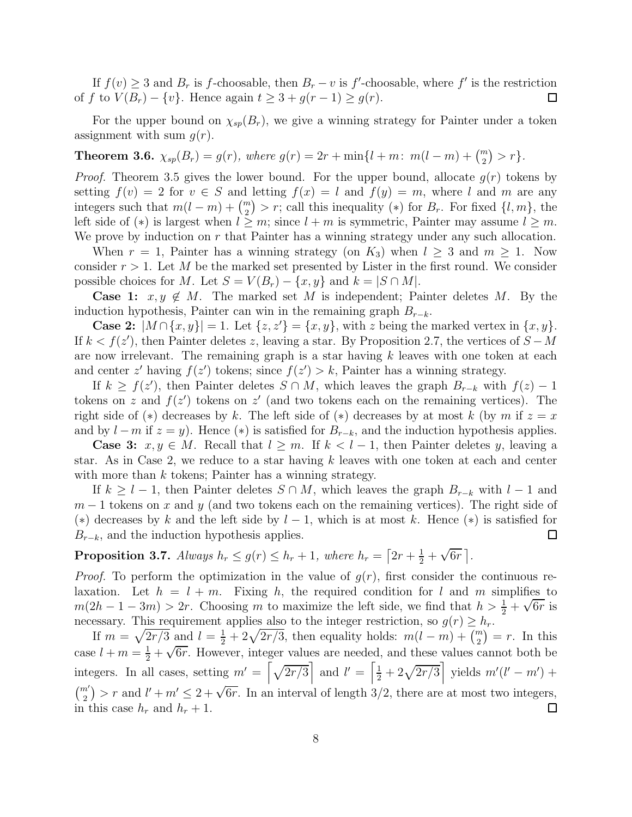If  $f(v) \geq 3$  and  $B_r$  is f-choosable, then  $B_r - v$  is f'-choosable, where f' is the restriction of f to  $V(B_r) - \{v\}$ . Hence again  $t \geq 3 + g(r - 1) \geq g(r)$ .  $\Box$ 

For the upper bound on  $\chi_{sp}(B_r)$ , we give a winning strategy for Painter under a token assignment with sum  $g(r)$ .

**Theorem 3.6.**  $\chi_{sp}(B_r) = g(r)$ , where  $g(r) = 2r + \min\{l + m: m(l - m) + \binom{m}{2} > r\}$ .

*Proof.* Theorem 3.5 gives the lower bound. For the upper bound, allocate  $g(r)$  tokens by setting  $f(v) = 2$  for  $v \in S$  and letting  $f(x) = l$  and  $f(y) = m$ , where l and m are any integers such that  $m(l - m) + \binom{m}{2} > r$ ; call this inequality (\*) for  $B_r$ . For fixed  $\{l, m\}$ , the left side of (\*) is largest when  $l \geq m$ ; since  $l + m$  is symmetric, Painter may assume  $l \geq m$ . We prove by induction on  $r$  that Painter has a winning strategy under any such allocation.

When  $r = 1$ , Painter has a winning strategy (on  $K_3$ ) when  $l \geq 3$  and  $m \geq 1$ . Now consider  $r > 1$ . Let M be the marked set presented by Lister in the first round. We consider possible choices for M. Let  $S = V(B_r) - \{x, y\}$  and  $k = |S \cap M|$ .

**Case 1:**  $x, y \notin M$ . The marked set M is independent; Painter deletes M. By the induction hypothesis, Painter can win in the remaining graph  $B_{r-k}$ .

**Case 2:**  $|M \cap \{x, y\}| = 1$ . Let  $\{z, z'\} = \{x, y\}$ , with z being the marked vertex in  $\{x, y\}$ . If  $k < f(z')$ , then Painter deletes z, leaving a star. By Proposition 2.7, the vertices of  $S - M$ are now irrelevant. The remaining graph is a star having  $k$  leaves with one token at each and center z' having  $f(z')$  tokens; since  $f(z') > k$ , Painter has a winning strategy.

If  $k \ge f(z')$ , then Painter deletes  $S \cap M$ , which leaves the graph  $B_{r-k}$  with  $f(z) - 1$ tokens on z and  $f(z')$  tokens on z' (and two tokens each on the remaining vertices). The right side of (\*) decreases by k. The left side of (\*) decreases by at most k (by m if  $z = x$ and by  $l - m$  if  $z = y$ ). Hence (\*) is satisfied for  $B_{r-k}$ , and the induction hypothesis applies.

**Case 3:**  $x, y \in M$ . Recall that  $l \geq m$ . If  $k < l-1$ , then Painter deletes y, leaving a star. As in Case 2, we reduce to a star having  $k$  leaves with one token at each and center with more than  $k$  tokens; Painter has a winning strategy.

If  $k \geq l-1$ , then Painter deletes  $S \cap M$ , which leaves the graph  $B_{r-k}$  with  $l-1$  and  $m-1$  tokens on x and y (and two tokens each on the remaining vertices). The right side of (\*) decreases by k and the left side by  $l-1$ , which is at most k. Hence (\*) is satisfied for  $B_{r-k}$ , and the induction hypothesis applies.  $\Box$ 

**Proposition 3.7.** *Always*  $h_r \leq g(r) \leq h_r + 1$ , where  $h_r = \left[2r + \frac{1}{2} + \sqrt{6r}\right]$ .

*Proof.* To perform the optimization in the value of  $g(r)$ , first consider the continuous relaxation. Let  $h = l + m$ . Fixing h, the required condition for l and m simplifies to  $m(2h-1-3m) > 2r$ . Choosing m to maximize the left side, we find that  $h > \frac{1}{2} + \sqrt{6r}$  is necessary. This requirement applies also to the integer restriction, so  $g(r) \geq h_r$ .

If  $m = \sqrt{2r/3}$  and  $l = \frac{1}{2} + 2\sqrt{2r/3}$ , then equality holds:  $m(l - m) + \binom{m}{2} = r$ . In this case  $l + m = \frac{1}{2} + \sqrt{6r}$ . However, integer values are needed, and these values cannot both be integers. In all cases, setting  $m' = \left[\sqrt{2r/3}\right]$  and  $l' = \left[\frac{1}{2} + 2\sqrt{2r/3}\right]$  yields  $m'(l' - m')$  +  $\binom{m'}{2}$  > r and  $l' + m' \leq 2 + \sqrt{6r}$ . In an interval of length  $3/2$ , there are at most two integers, in this case  $h_r$  and  $h_r + 1$ .  $\Box$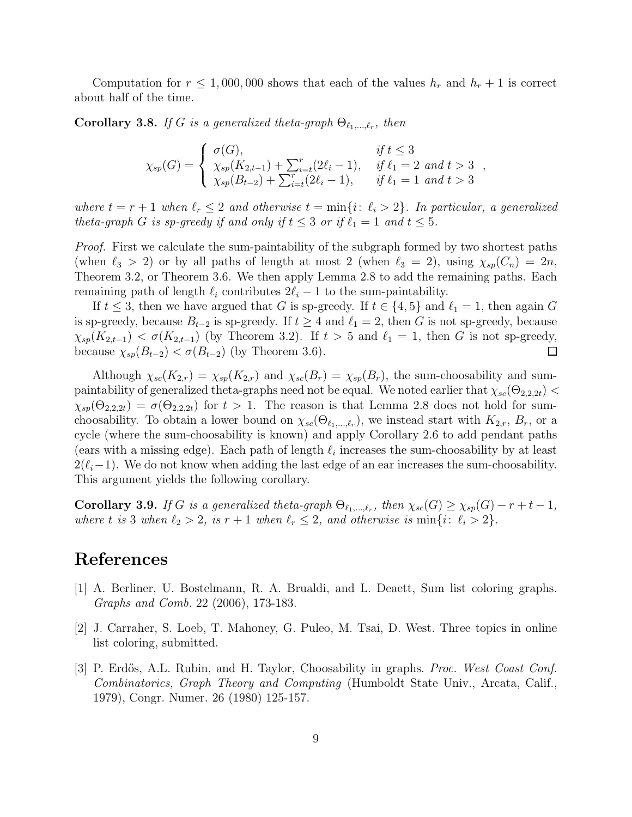Computation for  $r \leq 1,000,000$  shows that each of the values  $h_r$  and  $h_r + 1$  is correct about half of the time.

**Corollary 3.8.** If G is a generalized theta-graph  $\Theta_{\ell_1,\ldots,\ell_r}$ , then

$$
\chi_{sp}(G) = \begin{cases}\n\sigma(G), & \text{if } t \leq 3 \\
\chi_{sp}(K_{2,t-1}) + \sum_{i=t}^r (2\ell_i - 1), & \text{if } \ell_1 = 2 \text{ and } t > 3 \\
\chi_{sp}(B_{t-2}) + \sum_{i=t}^r (2\ell_i - 1), & \text{if } \ell_1 = 1 \text{ and } t > 3\n\end{cases}
$$

*where*  $t = r + 1$  *when*  $\ell_r \leq 2$  *and otherwise*  $t = \min\{i : \ell_i > 2\}$ *. In particular, a generalized theta-graph G is sp-greedy if and only if*  $t \leq 3$  *or if*  $\ell_1 = 1$  *and*  $t \leq 5$ *.* 

*Proof.* First we calculate the sum-paintability of the subgraph formed by two shortest paths (when  $\ell_3 > 2$ ) or by all paths of length at most 2 (when  $\ell_3 = 2$ ), using  $\chi_{sp}(C_n) = 2n$ , Theorem 3.2, or Theorem 3.6. We then apply Lemma 2.8 to add the remaining paths. Each remaining path of length  $\ell_i$  contributes  $2\ell_i - 1$  to the sum-paintability.

If  $t \leq 3$ , then we have argued that G is sp-greedy. If  $t \in \{4, 5\}$  and  $\ell_1 = 1$ , then again G is sp-greedy, because  $B_{t-2}$  is sp-greedy. If  $t \geq 4$  and  $\ell_1 = 2$ , then G is not sp-greedy, because  $\chi_{sp}(K_{2,t-1}) < \sigma(K_{2,t-1})$  (by Theorem 3.2). If  $t > 5$  and  $\ell_1 = 1$ , then G is not sp-greedy, because  $\chi_{sp}(B_{t-2}) < \sigma(B_{t-2})$  (by Theorem 3.6).  $\Box$ 

Although  $\chi_{sc}(K_{2,r}) = \chi_{sp}(K_{2,r})$  and  $\chi_{sc}(B_r) = \chi_{sp}(B_r)$ , the sum-choosability and sumpaintability of generalized theta-graphs need not be equal. We noted earlier that  $\chi_{sc}(\Theta_{2,2,2t})$  $\chi_{sp}(\Theta_{2,2,2t}) = \sigma(\Theta_{2,2,2t})$  for  $t > 1$ . The reason is that Lemma 2.8 does not hold for sumchoosability. To obtain a lower bound on  $\chi_{sc}(\Theta_{\ell_1,\ldots,\ell_r})$ , we instead start with  $K_{2,r}$ ,  $B_r$ , or a cycle (where the sum-choosability is known) and apply Corollary 2.6 to add pendant paths (ears with a missing edge). Each path of length  $\ell_i$  increases the sum-choosability by at least  $2(\ell_i-1)$ . We do not know when adding the last edge of an ear increases the sum-choosability. This argument yields the following corollary.

**Corollary 3.9.** *If* G *is a generalized theta-graph*  $\Theta_{\ell_1,\ldots,\ell_r}$ , then  $\chi_{sc}(G) \geq \chi_{sp}(G) - r + t - 1$ , *where t is* 3 *when*  $\ell_2 > 2$ *, is*  $r + 1$  *when*  $\ell_r \leq 2$ *, and otherwise is* min{*i*:  $\ell_i > 2$ }.

## References

- [1] A. Berliner, U. Bostelmann, R. A. Brualdi, and L. Deaett, Sum list coloring graphs. *Graphs and Comb.* 22 (2006), 173-183.
- [2] J. Carraher, S. Loeb, T. Mahoney, G. Puleo, M. Tsai, D. West. Three topics in online list coloring, submitted.
- [3] P. Erdős, A.L. Rubin, and H. Taylor, Choosability in graphs. *Proc. West Coast Conf. Combinatorics, Graph Theory and Computing* (Humboldt State Univ., Arcata, Calif., 1979), Congr. Numer. 26 (1980) 125-157.